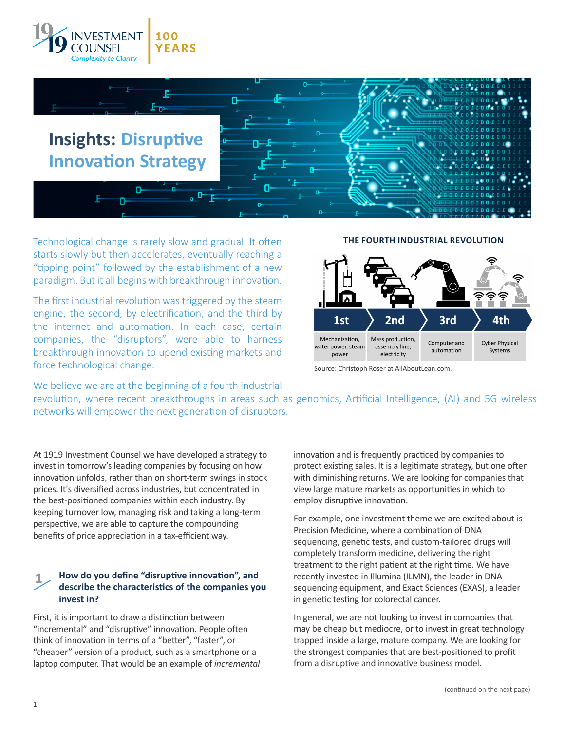



Technological change is rarely slow and gradual. It often starts slowly but then accelerates, eventually reaching a "tipping point" followed by the establishment of a new paradigm. But it all begins with breakthrough innovation.

The first industrial revolution was triggered by the steam engine, the second, by electrification, and the third by the internet and automation. In each case, certain companies, the "disruptors", were able to harness breakthrough innovation to upend existing markets and force technological change.

#### **THE FOURTH INDUSTRIAL REVOLUTION**



Source: Christoph Roser at AllAboutLean.com.

We believe we are at the beginning of a fourth industrial

revolution, where recent breakthroughs in areas such as genomics, Artificial Intelligence, (AI) and 5G wireless networks will empower the next generation of disruptors.

At 1919 Investment Counsel we have developed a strategy to invest in tomorrow's leading companies by focusing on how innovation unfolds, rather than on short-term swings in stock prices. It's diversified across industries, but concentrated in the best-positioned companies within each industry. By keeping turnover low, managing risk and taking a long-term perspective, we are able to capture the compounding benefits of price appreciation in a tax-efficient way.

## **1 How do you define "disruptive innovation", and describe the characteristics of the companies you invest in?**

First, it is important to draw a distinction between "incremental" and "disruptive" innovation. People often think of innovation in terms of a "better", "faster", or "cheaper" version of a product, such as a smartphone or a laptop computer. That would be an example of *incremental* innovation and is frequently practiced by companies to protect existing sales. It is a legitimate strategy, but one often with diminishing returns. We are looking for companies that view large mature markets as opportunities in which to employ disruptive innovation.

For example, one investment theme we are excited about is Precision Medicine, where a combination of DNA sequencing, genetic tests, and custom-tailored drugs will completely transform medicine, delivering the right treatment to the right patient at the right time. We have recently invested in Illumina (ILMN), the leader in DNA sequencing equipment, and Exact Sciences (EXAS), a leader in genetic testing for colorectal cancer.

In general, we are not looking to invest in companies that may be cheap but mediocre, or to invest in great technology trapped inside a large, mature company. We are looking for the strongest companies that are best-positioned to profit from a disruptive and innovative business model.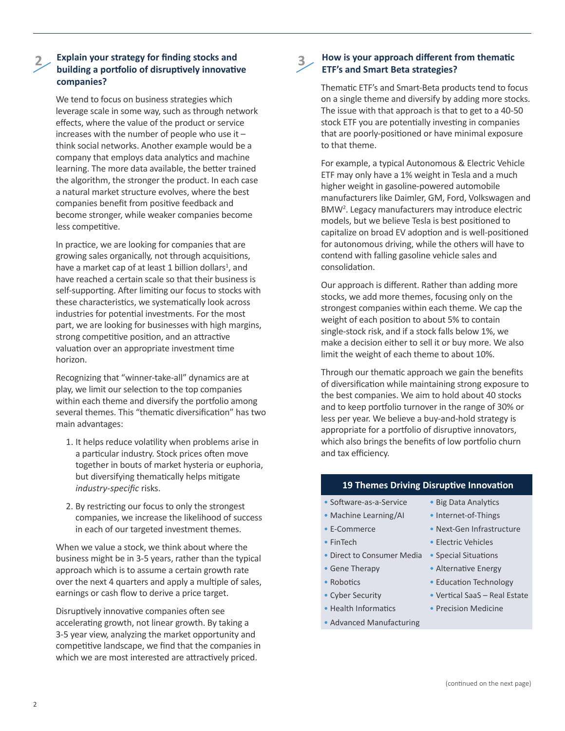### **2 Explain your strategy for finding stocks and building a portfolio of disruptively innovative companies?**

We tend to focus on business strategies which leverage scale in some way, such as through network effects, where the value of the product or service increases with the number of people who use it – think social networks. Another example would be a company that employs data analytics and machine learning. The more data available, the better trained the algorithm, the stronger the product. In each case a natural market structure evolves, where the best companies benefit from positive feedback and become stronger, while weaker companies become less competitive.

In practice, we are looking for companies that are growing sales organically, not through acquisitions, have a market cap of at least 1 billion dollars<sup>1</sup>, and have reached a certain scale so that their business is self-supporting. After limiting our focus to stocks with these characteristics, we systematically look across industries for potential investments. For the most part, we are looking for businesses with high margins, strong competitive position, and an attractive valuation over an appropriate investment time horizon.

Recognizing that "winner-take-all" dynamics are at play, we limit our selection to the top companies within each theme and diversify the portfolio among several themes. This "thematic diversification" has two main advantages:

- 1. It helps reduce volatility when problems arise in a particular industry. Stock prices often move together in bouts of market hysteria or euphoria, but diversifying thematically helps mitigate *industry-specific* risks.
- 2. By restricting our focus to only the strongest companies, we increase the likelihood of success in each of our targeted investment themes.

When we value a stock, we think about where the business might be in 3-5 years, rather than the typical approach which is to assume a certain growth rate over the next 4 quarters and apply a multiple of sales, earnings or cash flow to derive a price target.

Disruptively innovative companies often see accelerating growth, not linear growth. By taking a 3-5 year view, analyzing the market opportunity and competitive landscape, we find that the companies in which we are most interested are attractively priced.

## **3 How is your approach different from thematic ETF's and Smart Beta strategies?**

Thematic ETF's and Smart-Beta products tend to focus on a single theme and diversify by adding more stocks. The issue with that approach is that to get to a 40-50 stock ETF you are potentially investing in companies that are poorly-positioned or have minimal exposure to that theme.

For example, a typical Autonomous & Electric Vehicle ETF may only have a 1% weight in Tesla and a much higher weight in gasoline-powered automobile manufacturers like Daimler, GM, Ford, Volkswagen and BMW<sup>2</sup> . Legacy manufacturers may introduce electric models, but we believe Tesla is best positioned to capitalize on broad EV adoption and is well-positioned for autonomous driving, while the others will have to contend with falling gasoline vehicle sales and consolidation.

Our approach is different. Rather than adding more stocks, we add more themes, focusing only on the strongest companies within each theme. We cap the weight of each position to about 5% to contain single-stock risk, and if a stock falls below 1%, we make a decision either to sell it or buy more. We also limit the weight of each theme to about 10%.

Through our thematic approach we gain the benefits of diversification while maintaining strong exposure to the best companies. We aim to hold about 40 stocks and to keep portfolio turnover in the range of 30% or less per year. We believe a buy-and-hold strategy is appropriate for a portfolio of disruptive innovators, which also brings the benefits of low portfolio churn and tax efficiency.

#### **19 Themes Driving Disruptive Innovation**

- Software-as-a-Service Big Data Analytics
- 
- 
- 
- Direct to Consumer Media Special Situations
- 
- 
- 
- Health Informatics Precision Medicine
- Advanced Manufacturing
- 
- Machine Learning/AI Internet-of-Things
- E-Commerce Next-Gen Infrastructure
- FinTech Electric Vehicles
	-
- Gene Therapy  **Alternative Energy**
- Robotics Education Technology
- Cyber Security Vertical SaaS Real Estate
	-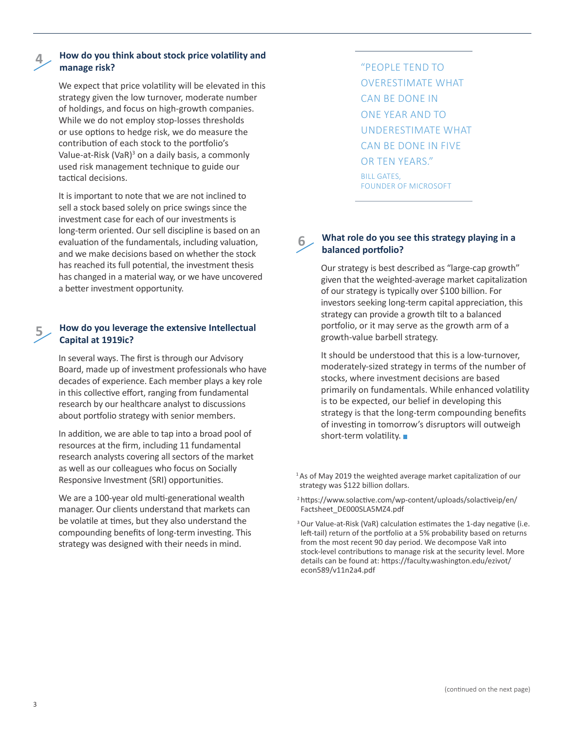# **4**

#### **How do you think about stock price volatility and manage risk?**

We expect that price volatility will be elevated in this strategy given the low turnover, moderate number of holdings, and focus on high-growth companies. While we do not employ stop-losses thresholds or use options to hedge risk, we do measure the contribution of each stock to the portfolio's Value-at-Risk (VaR)<sup>3</sup> on a daily basis, a commonly used risk management technique to guide our tactical decisions.

It is important to note that we are not inclined to sell a stock based solely on price swings since the investment case for each of our investments is long-term oriented. Our sell discipline is based on an evaluation of the fundamentals, including valuation, and we make decisions based on whether the stock has reached its full potential, the investment thesis has changed in a material way, or we have uncovered a better investment opportunity.

## **5 How do you leverage the extensive Intellectual Capital at 1919ic?**

In several ways. The first is through our Advisory Board, made up of investment professionals who have decades of experience. Each member plays a key role in this collective effort, ranging from fundamental research by our healthcare analyst to discussions about portfolio strategy with senior members.

In addition, we are able to tap into a broad pool of resources at the firm, including 11 fundamental research analysts covering all sectors of the market as well as our colleagues who focus on Socially Responsive Investment (SRI) opportunities.

We are a 100-year old multi-generational wealth manager. Our clients understand that markets can be volatile at times, but they also understand the compounding benefits of long-term investing. This strategy was designed with their needs in mind.

"PEOPLE TEND TO OVERESTIMATE WHAT CAN BE DONE IN ONE YEAR AND TO UNDERESTIMATE WHAT CAN BE DONE IN FIVE OR TEN YEARS." BILL GATES, FOUNDER OF MICROSOFT

### **6 What role do you see this strategy playing in <sup>a</sup> balanced portfolio?**

Our strategy is best described as "large-cap growth" given that the weighted-average market capitalization of our strategy is typically over \$100 billion. For investors seeking long-term capital appreciation, this strategy can provide a growth tilt to a balanced portfolio, or it may serve as the growth arm of a growth-value barbell strategy.

It should be understood that this is a low-turnover, moderately-sized strategy in terms of the number of stocks, where investment decisions are based primarily on fundamentals. While enhanced volatility is to be expected, our belief in developing this strategy is that the long-term compounding benefits of investing in tomorrow's disruptors will outweigh short-term volatility.

<sup>1</sup> As of May 2019 the weighted average market capitalization of our strategy was \$122 billion dollars.

<sup>2</sup>https://www.solactive.com/wp-content/uploads/solactiveip/en/ Factsheet\_DE000SLA5MZ4.pdf

<sup>3</sup> Our Value-at-Risk (VaR) calculation estimates the 1-day negative (i.e. left-tail) return of the portfolio at a 5% probability based on returns from the most recent 90 day period. We decompose VaR into stock-level contributions to manage risk at the security level. More details can be found at: https://faculty.washington.edu/ezivot/ econ589/v11n2a4.pdf